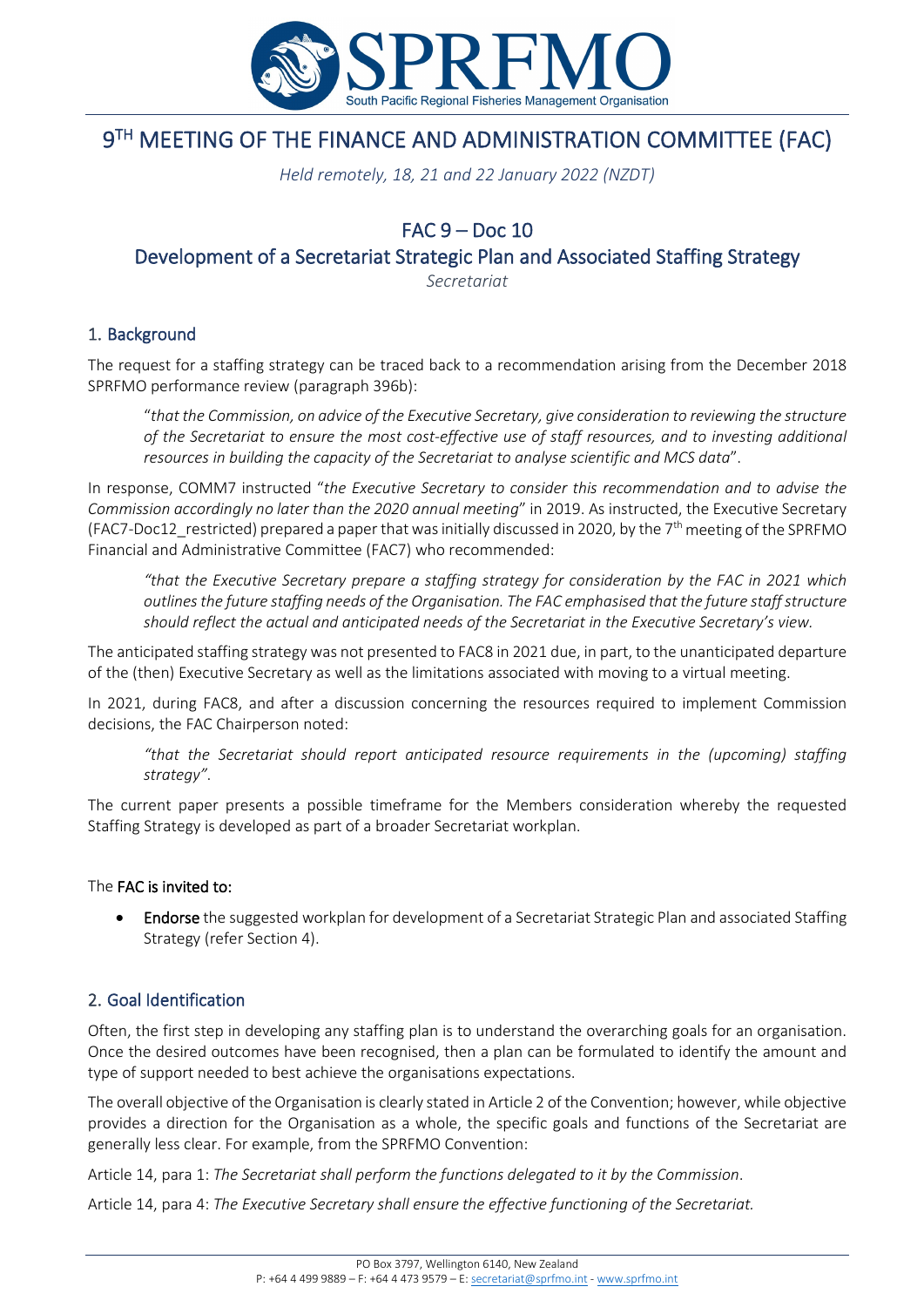

# 9TH MEETING OF THE FINANCE AND ADMINISTRATION COMMITTEE (FAC)

*Held remotely, 18, 21 and 22 January 2022 (NZDT)*

# FAC 9 – Doc 10

Development of a Secretariat Strategic Plan and Associated Staffing Strategy

*Secretariat*

## 1. Background

The request for a staffing strategy can be traced back to a recommendation arising from the December 2018 SPRFMO performance review (paragraph 396b):

"*that the Commission, on advice of the Executive Secretary, give consideration to reviewing the structure of the Secretariat to ensure the most cost-effective use of staff resources, and to investing additional resources in building the capacity of the Secretariat to analyse scientific and MCS data*".

In response, COMM7 instructed "*the Executive Secretary to consider this recommendation and to advise the Commission accordingly no later than the 2020 annual meeting*" in 2019. As instructed, the Executive Secretary (FAC7-Doc12\_restricted) prepared a paper that was initially discussed in 2020, by the 7th meeting of the SPRFMO Financial and Administrative Committee (FAC7) who recommended:

*"that the Executive Secretary prepare a staffing strategy for consideration by the FAC in 2021 which outlines the future staffing needs of the Organisation. The FAC emphasised that the future staff structure should reflect the actual and anticipated needs of the Secretariat in the Executive Secretary's view.*

The anticipated staffing strategy was not presented to FAC8 in 2021 due, in part, to the unanticipated departure of the (then) Executive Secretary as well as the limitations associated with moving to a virtual meeting.

In 2021, during FAC8, and after a discussion concerning the resources required to implement Commission decisions, the FAC Chairperson noted:

*"that the Secretariat should report anticipated resource requirements in the (upcoming) staffing strategy"*.

The current paper presents a possible timeframe for the Members consideration whereby the requested Staffing Strategy is developed as part of a broader Secretariat workplan.

#### The FAC is invited to:

• Endorse the suggested workplan for development of a Secretariat Strategic Plan and associated Staffing Strategy (refer Section 4).

#### 2. Goal Identification

Often, the first step in developing any staffing plan is to understand the overarching goals for an organisation. Once the desired outcomes have been recognised, then a plan can be formulated to identify the amount and type of support needed to best achieve the organisations expectations.

The overall objective of the Organisation is clearly stated in Article 2 of the Convention; however, while objective provides a direction for the Organisation as a whole, the specific goals and functions of the Secretariat are generally less clear. For example, from the SPRFMO Convention:

Article 14, para 1: *The Secretariat shall perform the functions delegated to it by the Commission*.

Article 14, para 4: *The Executive Secretary shall ensure the effective functioning of the Secretariat.*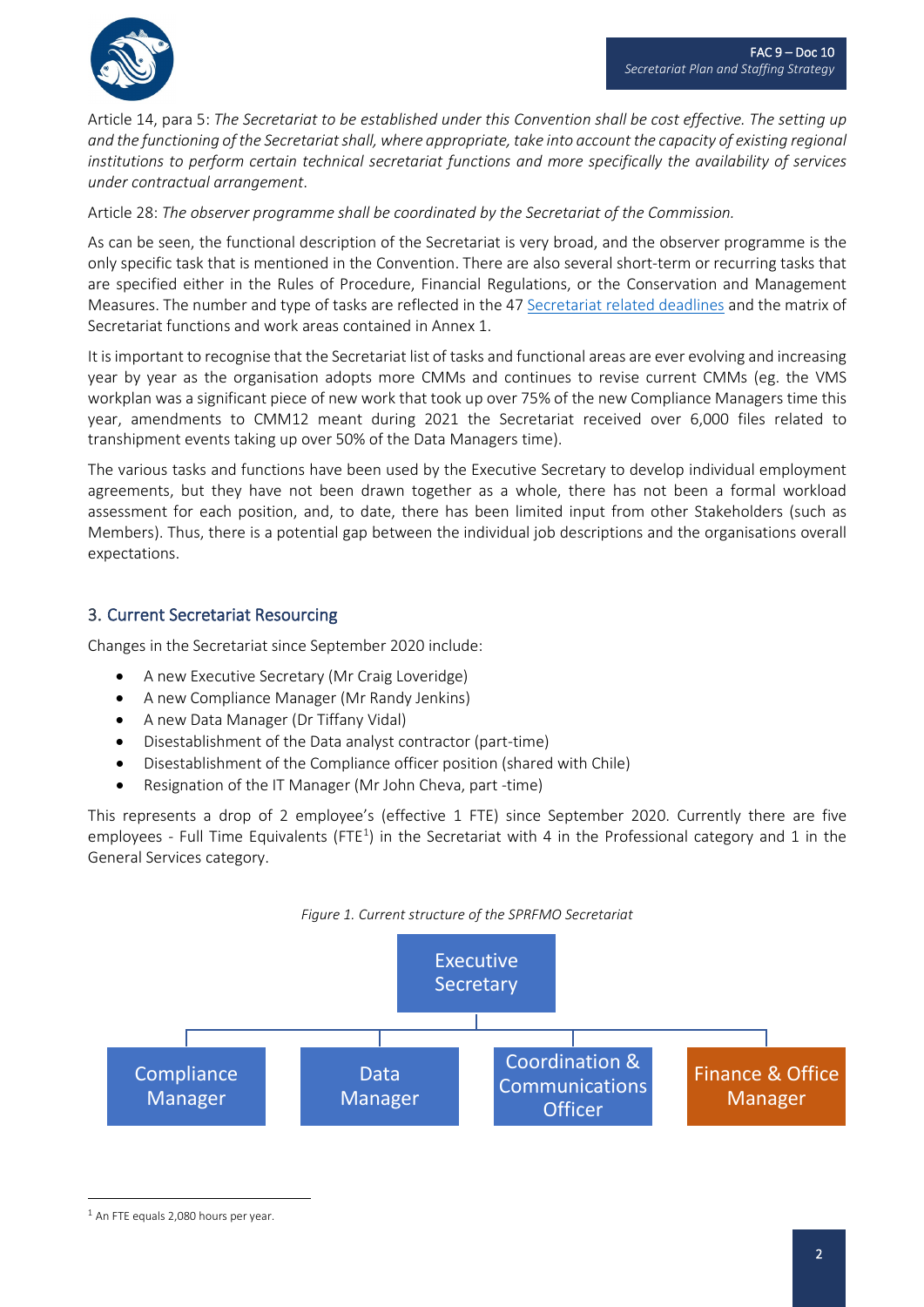

Article 14, para 5: *The Secretariat to be established under this Convention shall be cost effective. The setting up and the functioning of the Secretariat shall, where appropriate, take into account the capacity of existing regional institutions to perform certain technical secretariat functions and more specifically the availability of services under contractual arrangement*.

Article 28: *The observer programme shall be coordinated by the Secretariat of the Commission.*

As can be seen, the functional description of the Secretariat is very broad, and the observer programme is the only specific task that is mentioned in the Convention. There are also several short-term or recurring tasks that are specified either in the Rules of Procedure, Financial Regulations, or the Conservation and Management Measures. The number and type of tasks are reflected in the 47 [Secretariat related deadlines](http://www.sprfmo.int/assets/Fisheries/Fishery-Reports/2021-SPRFMO-DEADLINES-AND-RELEVANT-DATES-28-October-2021.pdf) and the matrix of Secretariat functions and work areas contained in Annex 1.

It is important to recognise that the Secretariat list of tasks and functional areas are ever evolving and increasing year by year as the organisation adopts more CMMs and continues to revise current CMMs (eg. the VMS workplan was a significant piece of new work that took up over 75% of the new Compliance Managers time this year, amendments to CMM12 meant during 2021 the Secretariat received over 6,000 files related to transhipment events taking up over 50% of the Data Managers time).

The various tasks and functions have been used by the Executive Secretary to develop individual employment agreements, but they have not been drawn together as a whole, there has not been a formal workload assessment for each position, and, to date, there has been limited input from other Stakeholders (such as Members). Thus, there is a potential gap between the individual job descriptions and the organisations overall expectations.

#### 3. Current Secretariat Resourcing

Changes in the Secretariat since September 2020 include:

- A new Executive Secretary (Mr Craig Loveridge)
- A new Compliance Manager (Mr Randy Jenkins)
- A new Data Manager (Dr Tiffany Vidal)
- Disestablishment of the Data analyst contractor (part-time)
- Disestablishment of the Compliance officer position (shared with Chile)
- Resignation of the IT Manager (Mr John Cheva, part -time)

This represents a drop of 2 employee's (effective 1 FTE) since September 2020. Currently there are five employees - Full Time Equivalents (FTE<sup>[1](#page-1-0)</sup>) in the Secretariat with 4 in the Professional category and 1 in the General Services category.



<span id="page-1-0"></span><sup>&</sup>lt;sup>1</sup> An FTE equals 2,080 hours per year.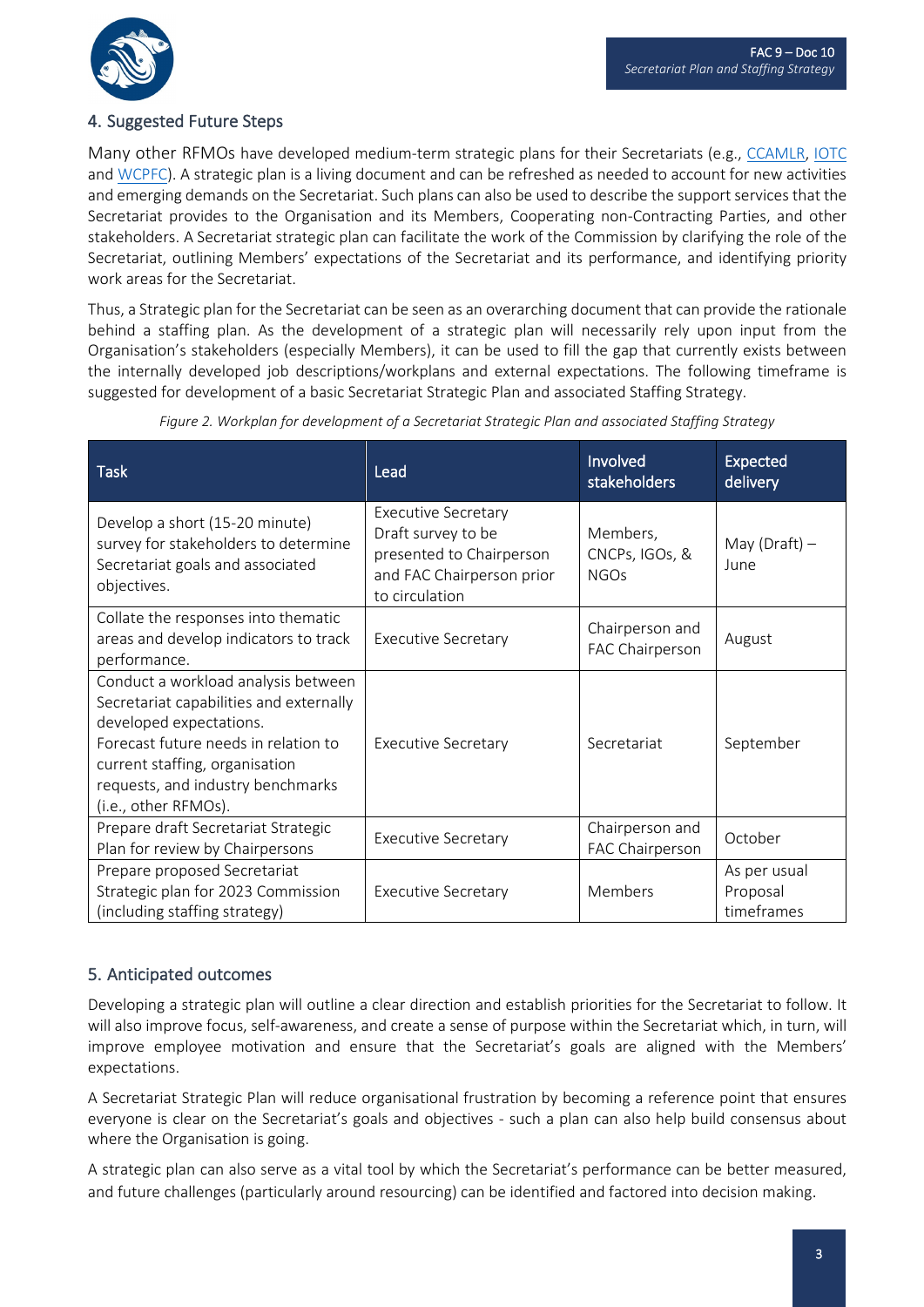

## 4. Suggested Future Steps

Many other RFMOs have developed medium-term strategic plans for their Secretariats (e.g., [CCAMLR,](https://www.ccamlr.org/en/document/organisation/ccamlr-secretariat-strategic-plan) [IOTC](https://www.iotc.org/documents/secretariat-strategic-plan) and [WCPFC\)](https://www.wcpfc.int/wcpfc-secretariat-corporate-plan). A strategic plan is a living document and can be refreshed as needed to account for new activities and emerging demands on the Secretariat. Such plans can also be used to describe the support services that the Secretariat provides to the Organisation and its Members, Cooperating non-Contracting Parties, and other stakeholders. A Secretariat strategic plan can facilitate the work of the Commission by clarifying the role of the Secretariat, outlining Members' expectations of the Secretariat and its performance, and identifying priority work areas for the Secretariat.

Thus, a Strategic plan for the Secretariat can be seen as an overarching document that can provide the rationale behind a staffing plan. As the development of a strategic plan will necessarily rely upon input from the Organisation's stakeholders (especially Members), it can be used to fill the gap that currently exists between the internally developed job descriptions/workplans and external expectations. The following timeframe is suggested for development of a basic Secretariat Strategic Plan and associated Staffing Strategy.

| <b>Task</b>                                                                                                                                                                                                                                      | Lead                                                                                                                        | Involved<br><b>stakeholders</b>           | <b>Expected</b><br>delivery            |
|--------------------------------------------------------------------------------------------------------------------------------------------------------------------------------------------------------------------------------------------------|-----------------------------------------------------------------------------------------------------------------------------|-------------------------------------------|----------------------------------------|
| Develop a short (15-20 minute)<br>survey for stakeholders to determine<br>Secretariat goals and associated<br>objectives.                                                                                                                        | <b>Executive Secretary</b><br>Draft survey to be<br>presented to Chairperson<br>and FAC Chairperson prior<br>to circulation | Members,<br>CNCPs, IGOs, &<br><b>NGOS</b> | May (Draft) $-$<br>June                |
| Collate the responses into thematic<br>areas and develop indicators to track<br>performance.                                                                                                                                                     | <b>Executive Secretary</b>                                                                                                  | Chairperson and<br>FAC Chairperson        | August                                 |
| Conduct a workload analysis between<br>Secretariat capabilities and externally<br>developed expectations.<br>Forecast future needs in relation to<br>current staffing, organisation<br>requests, and industry benchmarks<br>(i.e., other RFMOs). | <b>Executive Secretary</b>                                                                                                  | Secretariat                               | September                              |
| Prepare draft Secretariat Strategic<br>Plan for review by Chairpersons                                                                                                                                                                           | <b>Executive Secretary</b>                                                                                                  | Chairperson and<br>FAC Chairperson        | October                                |
| Prepare proposed Secretariat<br>Strategic plan for 2023 Commission<br>(including staffing strategy)                                                                                                                                              | <b>Executive Secretary</b>                                                                                                  | Members                                   | As per usual<br>Proposal<br>timeframes |

*Figure 2. Workplan for development of a Secretariat Strategic Plan and associated Staffing Strategy*

#### 5. Anticipated outcomes

Developing a strategic plan will outline a clear direction and establish priorities for the Secretariat to follow. It will also improve focus, self-awareness, and create a sense of purpose within the Secretariat which, in turn, will improve employee motivation and ensure that the Secretariat's goals are aligned with the Members' expectations.

A Secretariat Strategic Plan will reduce organisational frustration by becoming a reference point that ensures everyone is clear on the Secretariat's goals and objectives - such a plan can also help build consensus about where the Organisation is going.

A strategic plan can also serve as a vital tool by which the Secretariat's performance can be better measured, and future challenges (particularly around resourcing) can be identified and factored into decision making.